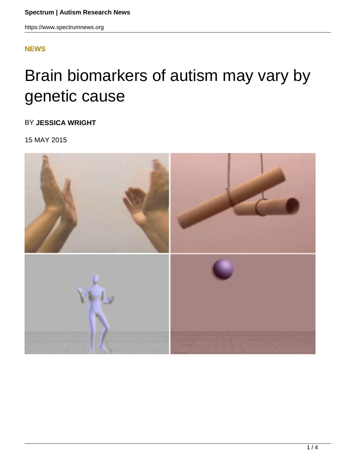## **[NEWS](HTTPS://WWW.SPECTRUMNEWS.ORG/NEWS/)**

## Brain biomarkers of autism may vary by genetic cause

BY **JESSICA WRIGHT**

15 MAY 2015

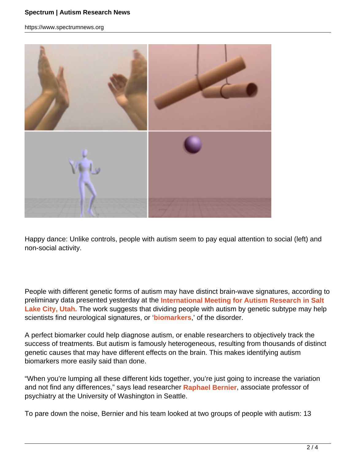https://www.spectrumnews.org



Happy dance: Unlike controls, people with autism seem to pay equal attention to social (left) and non-social activity.

People with different genetic forms of autism may have distinct brain-wave signatures, according to preliminary data presented yesterday at the **International Meeting for Autism Research in Salt** Lake City, Utah. The work suggests that dividing people with autism by genetic subtype may help scientists find neurological signatures, or '**biomarkers**,' of the disorder.

A perfect biomarker could help diagnose autism, or enable researchers to objectively track the success of treatments. But autism is famously heterogeneous, resulting from thousands of distinct genetic causes that may have different effects on the brain. This makes identifying autism biomarkers more easily said than done.

"When you're lumping all these different kids together, you're just going to increase the variation and not find any differences," says lead researcher **Raphael Bernier**, associate professor of psychiatry at the University of Washington in Seattle.

To pare down the noise, Bernier and his team looked at two groups of people with autism: 13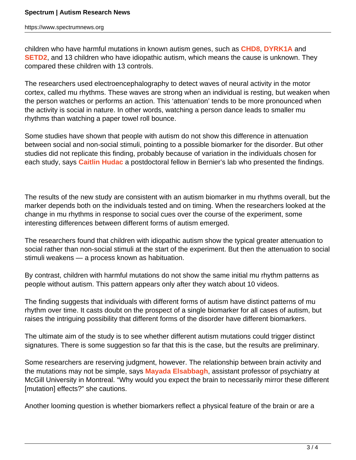https://www.spectrumnews.org

children who have harmful mutations in known autism genes, such as **CHD8**, **DYRK1A** and **SETD2**, and 13 children who have idiopathic autism, which means the cause is unknown. They compared these children with 13 controls.

The researchers used electroencephalography to detect waves of neural activity in the motor cortex, called mu rhythms. These waves are strong when an individual is resting, but weaken when the person watches or performs an action. This 'attenuation' tends to be more pronounced when the activity is social in nature. In other words, watching a person dance leads to smaller mu rhythms than watching a paper towel roll bounce.

Some studies have shown that people with autism do not show this difference in attenuation between social and non-social stimuli, pointing to a possible biomarker for the disorder. But other studies did not replicate this finding, probably because of variation in the individuals chosen for each study, says **Caitlin Hudac** a postdoctoral fellow in Bernier's lab who presented the findings.

The results of the new study are consistent with an autism biomarker in mu rhythms overall, but the marker depends both on the individuals tested and on timing. When the researchers looked at the change in mu rhythms in response to social cues over the course of the experiment, some interesting differences between different forms of autism emerged.

The researchers found that children with idiopathic autism show the typical greater attenuation to social rather than non-social stimuli at the start of the experiment. But then the attenuation to social stimuli weakens — a process known as habituation.

By contrast, children with harmful mutations do not show the same initial mu rhythm patterns as people without autism. This pattern appears only after they watch about 10 videos.

The finding suggests that individuals with different forms of autism have distinct patterns of mu rhythm over time. It casts doubt on the prospect of a single biomarker for all cases of autism, but raises the intriguing possibility that different forms of the disorder have different biomarkers.

The ultimate aim of the study is to see whether different autism mutations could trigger distinct signatures. There is some suggestion so far that this is the case, but the results are preliminary.

Some researchers are reserving judgment, however. The relationship between brain activity and the mutations may not be simple, says **Mayada Elsabbagh**, assistant professor of psychiatry at McGill University in Montreal. "Why would you expect the brain to necessarily mirror these different [mutation] effects?" she cautions.

Another looming question is whether biomarkers reflect a physical feature of the brain or are a